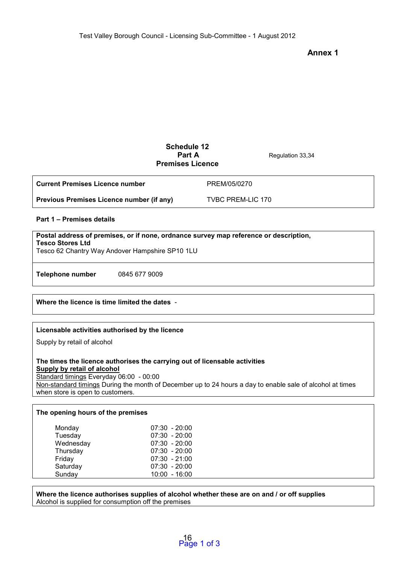# **Annex 1**

# **Schedule 12 Part A** Regulation 33,34 **Premises Licence**

| <b>Current Premises Licence number</b>    | PREM/05/0270      |
|-------------------------------------------|-------------------|
| Previous Premises Licence number (if any) | TVBC PREM-LIC 170 |

## **Part 1 – Premises details**

| Postal address of premises, or if none, ordnance survey map reference or description,<br><b>Tesco Stores Ltd</b><br>Tesco 62 Chantry Way Andover Hampshire SP10 1LU |               |  |  |
|---------------------------------------------------------------------------------------------------------------------------------------------------------------------|---------------|--|--|
| Telephone number                                                                                                                                                    | 0845 677 9009 |  |  |

## **Where the licence is time limited the dates** -

## **Licensable activities authorised by the licence**

Supply by retail of alcohol

### **The times the licence authorises the carrying out of licensable activities Supply by retail of alcohol**

Standard timings Everyday 06:00 - 00:00 Non-standard timings During the month of December up to 24 hours a day to enable sale of alcohol at times when store is open to customers.

### **The opening hours of the premises**

| Monday    | $07:30 - 20:00$ |
|-----------|-----------------|
| Tuesday   | $07:30 - 20:00$ |
| Wednesday | $07:30 - 20:00$ |
| Thursday  | $07:30 - 20:00$ |
| Friday    | $07:30 - 21:00$ |
| Saturday  | $07:30 - 20:00$ |
| Sunday    | 10:00 - 16:00   |

#### **Where the licence authorises supplies of alcohol whether these are on and / or off supplies**  Alcohol is supplied for consumption off the premises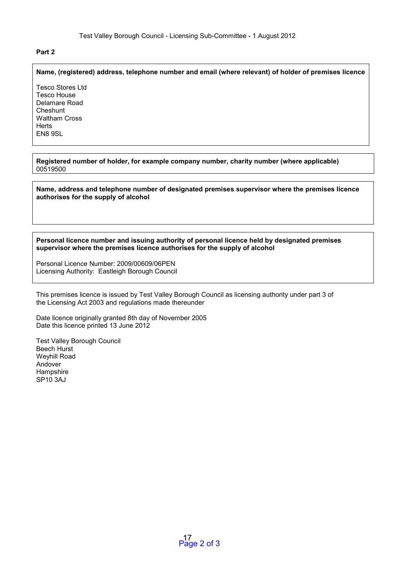## **Part 2**

### **Name, (registered) address, telephone number and email (where relevant) of holder of premises licence**

Tesco Stores Ltd Tesco House Delamare Road **Cheshunt** Waltham Cross **Herts** EN8 9SL

**Registered number of holder, for example company number, charity number (where applicable)**  00519500

**Name, address and telephone number of designated premises supervisor where the premises licence authorises for the supply of alcohol** 

**Personal licence number and issuing authority of personal licence held by designated premises supervisor where the premises licence authorises for the supply of alcohol** 

Personal Licence Number: 2009/00609/06PEN Licensing Authority: Eastleigh Borough Council

This premises licence is issued by Test Valley Borough Council as licensing authority under part 3 of the Licensing Act 2003 and regulations made thereunder

Date licence originally granted 8th day of November 2005 Date this licence printed 13 June 2012

Test Valley Borough Council Beech Hurst Weyhill Road Andover Hampshire SP10 3AJ